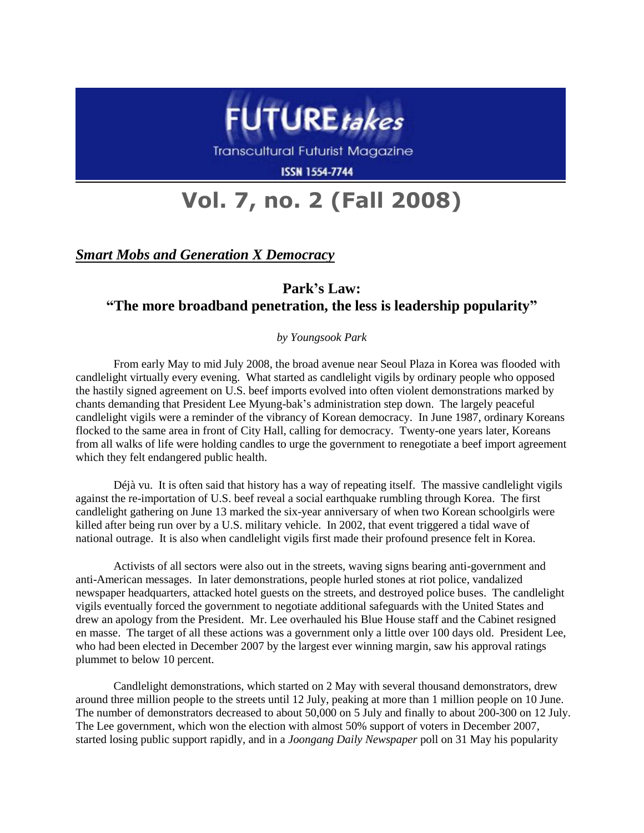

Transcultural Futurist Magazine

**ISSN 1554-7744** 

# **Vol. 7, no. 2 (Fall 2008)**

### *Smart Mobs and Generation X Democracy*

## **Park's Law: "The more broadband penetration, the less is leadership popularity"**

#### *by Youngsook Park*

From early May to mid July 2008, the broad avenue near Seoul Plaza in Korea was flooded with candlelight virtually every evening. What started as candlelight vigils by ordinary people who opposed the hastily signed agreement on U.S. beef imports evolved into often violent demonstrations marked by chants demanding that President Lee Myung-bak"s administration step down. The largely peaceful candlelight vigils were a reminder of the vibrancy of Korean democracy. In June 1987, ordinary Koreans flocked to the same area in front of City Hall, calling for democracy. Twenty-one years later, Koreans from all walks of life were holding candles to urge the government to renegotiate a beef import agreement which they felt endangered public health.

Déjà vu. It is often said that history has a way of repeating itself. The massive candlelight vigils against the re-importation of U.S. beef reveal a social earthquake rumbling through Korea. The first candlelight gathering on June 13 marked the six-year anniversary of when two Korean schoolgirls were killed after being run over by a U.S. military vehicle. In 2002, that event triggered a tidal wave of national outrage. It is also when candlelight vigils first made their profound presence felt in Korea.

Activists of all sectors were also out in the streets, waving signs bearing anti-government and anti-American messages. In later demonstrations, people hurled stones at riot police, vandalized newspaper headquarters, attacked hotel guests on the streets, and destroyed police buses. The candlelight vigils eventually forced the government to negotiate additional safeguards with the United States and drew an apology from the President. Mr. Lee overhauled his Blue House staff and the Cabinet resigned en masse. The target of all these actions was a government only a little over 100 days old. President Lee, who had been elected in December 2007 by the largest ever winning margin, saw his approval ratings plummet to below 10 percent.

Candlelight demonstrations, which started on 2 May with several thousand demonstrators, drew around three million people to the streets until 12 July, peaking at more than 1 million people on 10 June. The number of demonstrators decreased to about 50,000 on 5 July and finally to about 200-300 on 12 July. The Lee government, which won the election with almost 50% support of voters in December 2007, started losing public support rapidly, and in a *Joongang Daily Newspaper* poll on 31 May his popularity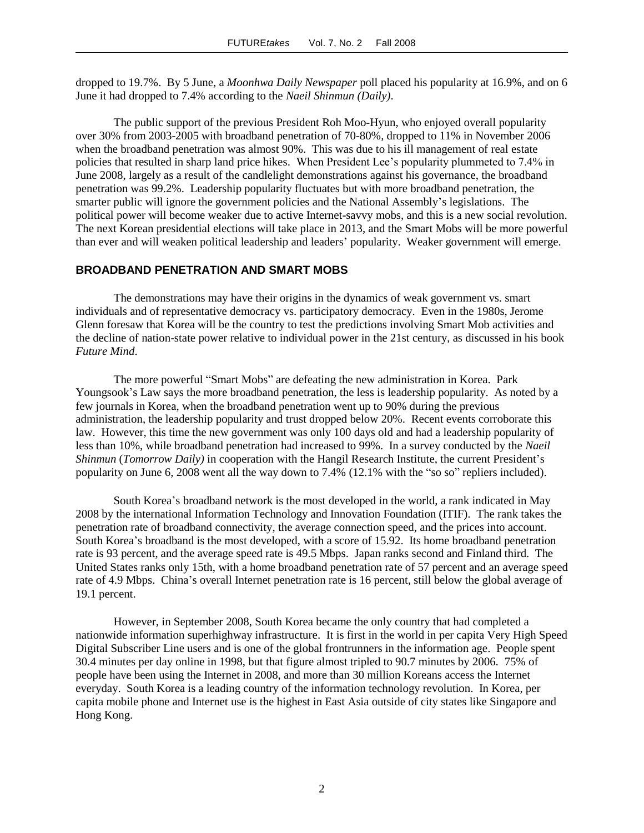dropped to 19.7%. By 5 June, a *Moonhwa Daily Newspaper* poll placed his popularity at 16.9%, and on 6 June it had dropped to 7.4% according to the *Naeil Shinmun (Daily)*.

The public support of the previous President Roh Moo-Hyun, who enjoyed overall popularity over 30% from 2003-2005 with broadband penetration of 70-80%, dropped to 11% in November 2006 when the broadband penetration was almost 90%. This was due to his ill management of real estate policies that resulted in sharp land price hikes. When President Lee"s popularity plummeted to 7.4% in June 2008, largely as a result of the candlelight demonstrations against his governance, the broadband penetration was 99.2%. Leadership popularity fluctuates but with more broadband penetration, the smarter public will ignore the government policies and the National Assembly"s legislations. The political power will become weaker due to active Internet-savvy mobs, and this is a new social revolution. The next Korean presidential elections will take place in 2013, and the Smart Mobs will be more powerful than ever and will weaken political leadership and leaders" popularity. Weaker government will emerge.

#### **BROADBAND PENETRATION AND SMART MOBS**

The demonstrations may have their origins in the dynamics of weak government vs. smart individuals and of representative democracy vs. participatory democracy. Even in the 1980s, Jerome Glenn foresaw that Korea will be the country to test the predictions involving Smart Mob activities and the decline of nation-state power relative to individual power in the 21st century, as discussed in his book *Future Mind*.

The more powerful "Smart Mobs" are defeating the new administration in Korea. Park Youngsook"s Law says the more broadband penetration, the less is leadership popularity. As noted by a few journals in Korea, when the broadband penetration went up to 90% during the previous administration, the leadership popularity and trust dropped below 20%. Recent events corroborate this law. However, this time the new government was only 100 days old and had a leadership popularity of less than 10%, while broadband penetration had increased to 99%. In a survey conducted by the *Naeil Shinmun* (*Tomorrow Daily)* in cooperation with the Hangil Research Institute, the current President"s popularity on June 6, 2008 went all the way down to 7.4% (12.1% with the "so so" repliers included).

South Korea"s broadband network is the most developed in the world, a rank indicated in May 2008 by the international Information Technology and Innovation Foundation (ITIF). The rank takes the penetration rate of broadband connectivity, the average connection speed, and the prices into account. South Korea"s broadband is the most developed, with a score of 15.92. Its home broadband penetration rate is 93 percent, and the average speed rate is 49.5 Mbps. Japan ranks second and Finland third. The United States ranks only 15th, with a home broadband penetration rate of 57 percent and an average speed rate of 4.9 Mbps. China"s overall Internet penetration rate is 16 percent, still below the global average of 19.1 percent.

However, in September 2008, South Korea became the only country that had completed a nationwide information superhighway infrastructure. It is first in the world in per capita Very High Speed Digital Subscriber Line users and is one of the global frontrunners in the information age. People spent 30.4 minutes per day online in 1998, but that figure almost tripled to 90.7 minutes by 2006. 75% of people have been using the Internet in 2008, and more than 30 million Koreans access the Internet everyday. South Korea is a leading country of the information technology revolution. In Korea, per capita mobile phone and Internet use is the highest in East Asia outside of city states like Singapore and Hong Kong.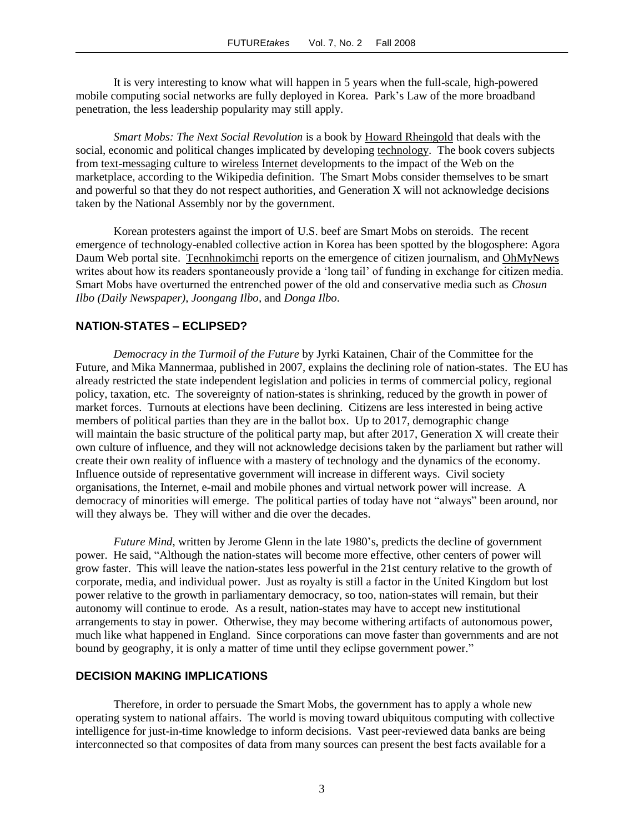It is very interesting to know what will happen in 5 years when the full-scale, high-powered mobile computing social networks are fully deployed in Korea. Park"s Law of the more broadband penetration, the less leadership popularity may still apply.

*Smart Mobs: The Next Social Revolution* is a book by [Howard Rheingold](http://en.wikipedia.org/wiki/Howard_Rheingold) that deals with the social, economic and political changes implicated by developing [technology.](http://en.wikipedia.org/wiki/Technology) The book covers subjects from [text-messaging](http://en.wikipedia.org/wiki/Short_message_service#Social_Impact_of_SMS) culture to [wireless](http://en.wikipedia.org/wiki/Wireless) [Internet](http://en.wikipedia.org/wiki/Internet) developments to the impact of the Web on the marketplace, according to the Wikipedia definition. The Smart Mobs consider themselves to be smart and powerful so that they do not respect authorities, and Generation X will not acknowledge decisions taken by the National Assembly nor by the government.

Korean protesters against the import of U.S. beef are Smart Mobs on steroids. The recent emergence of technology-enabled collective action in Korea has been spotted by the blogosphere: Agora Daum Web portal site. [Tecnhnokimchi](http://technokimchi.com/47) reports on the emergence of citizen journalism, an[d OhMyNews](http://english.ohmynews.com/articleview/article_view.asp?at_code=434502&no=382769&rel_no=1) writes about how its readers spontaneously provide a 'long tail' of funding in exchange for citizen media. Smart Mobs have overturned the entrenched power of the old and conservative media such as *Chosun Ilbo (Daily Newspaper)*, *Joongang Ilbo,* and *Donga Ilbo*.

#### **NATION-STATES – ECLIPSED?**

*Democracy in the Turmoil of the Future* by Jyrki Katainen, Chair of the Committee for the Future, and Mika Mannermaa, published in 2007, explains the declining role of nation-states. The EU has already restricted the state independent legislation and policies in terms of commercial policy, regional policy, taxation, etc. The sovereignty of nation-states is shrinking, reduced by the growth in power of market forces. Turnouts at elections have been declining. Citizens are less interested in being active members of political parties than they are in the ballot box. Up to 2017, demographic change will maintain the basic structure of the political party map, but after 2017, Generation X will create their own culture of influence, and they will not acknowledge decisions taken by the parliament but rather will create their own reality of influence with a mastery of technology and the dynamics of the economy. Influence outside of representative government will increase in different ways. Civil society organisations, the Internet, e-mail and mobile phones and virtual network power will increase. A democracy of minorities will emerge. The political parties of today have not "always" been around, nor will they always be. They will wither and die over the decades.

*Future Mind*, written by Jerome Glenn in the late 1980's, predicts the decline of government power. He said, "Although the nation-states will become more effective, other centers of power will grow faster. This will leave the nation-states less powerful in the 21st century relative to the growth of corporate, media, and individual power. Just as royalty is still a factor in the United Kingdom but lost power relative to the growth in parliamentary democracy, so too, nation-states will remain, but their autonomy will continue to erode. As a result, nation-states may have to accept new institutional arrangements to stay in power. Otherwise, they may become withering artifacts of autonomous power, much like what happened in England. Since corporations can move faster than governments and are not bound by geography, it is only a matter of time until they eclipse government power."

#### **DECISION MAKING IMPLICATIONS**

Therefore, in order to persuade the Smart Mobs, the government has to apply a whole new operating system to national affairs. The world is moving toward ubiquitous computing with collective intelligence for just-in-time knowledge to inform decisions. Vast peer-reviewed data banks are being interconnected so that composites of data from many sources can present the best facts available for a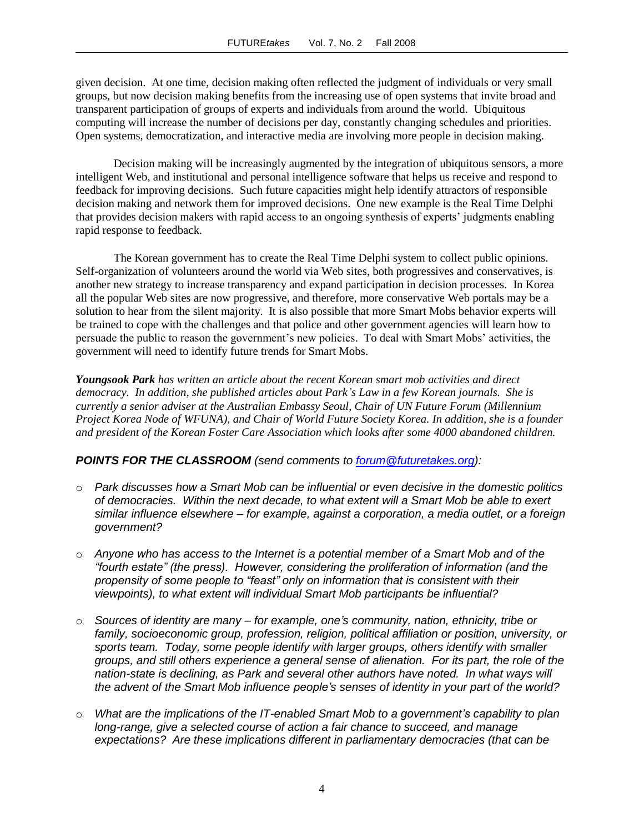given decision. At one time, decision making often reflected the judgment of individuals or very small groups, but now decision making benefits from the increasing use of open systems that invite broad and transparent participation of groups of experts and individuals from around the world. Ubiquitous computing will increase the number of decisions per day, constantly changing schedules and priorities. Open systems, democratization, and interactive media are involving more people in decision making.

Decision making will be increasingly augmented by the integration of ubiquitous sensors, a more intelligent Web, and institutional and personal intelligence software that helps us receive and respond to feedback for improving decisions. Such future capacities might help identify attractors of responsible decision making and network them for improved decisions. One new example is the Real Time Delphi that provides decision makers with rapid access to an ongoing synthesis of experts" judgments enabling rapid response to feedback.

The Korean government has to create the Real Time Delphi system to collect public opinions. Self-organization of volunteers around the world via Web sites, both progressives and conservatives, is another new strategy to increase transparency and expand participation in decision processes. In Korea all the popular Web sites are now progressive, and therefore, more conservative Web portals may be a solution to hear from the silent majority. It is also possible that more Smart Mobs behavior experts will be trained to cope with the challenges and that police and other government agencies will learn how to persuade the public to reason the government"s new policies. To deal with Smart Mobs" activities, the government will need to identify future trends for Smart Mobs.

*Youngsook Park has written an article about the recent Korean smart mob activities and direct democracy. In addition, she published articles about Park's Law in a few Korean journals. She is currently a senior adviser at the Australian Embassy Seoul, Chair of UN Future Forum (Millennium Project Korea Node of WFUNA), and Chair of World Future Society Korea. In addition, she is a founder and president of the Korean Foster Care Association which looks after some 4000 abandoned children.*

#### *POINTS FOR THE CLASSROOM (send comments to [forum@futuretakes.org\)](mailto:forum@futuretakes.org):*

- o *Park discusses how a Smart Mob can be influential or even decisive in the domestic politics of democracies. Within the next decade, to what extent will a Smart Mob be able to exert similar influence elsewhere – for example, against a corporation, a media outlet, or a foreign government?*
- o *Anyone who has access to the Internet is a potential member of a Smart Mob and of the "fourth estate" (the press). However, considering the proliferation of information (and the propensity of some people to "feast" only on information that is consistent with their viewpoints), to what extent will individual Smart Mob participants be influential?*
- o *Sources of identity are many – for example, one's community, nation, ethnicity, tribe or family, socioeconomic group, profession, religion, political affiliation or position, university, or sports team. Today, some people identify with larger groups, others identify with smaller groups, and still others experience a general sense of alienation. For its part, the role of the nation-state is declining, as Park and several other authors have noted. In what ways will the advent of the Smart Mob influence people's senses of identity in your part of the world?*
- o *What are the implications of the IT-enabled Smart Mob to a government's capability to plan long-range, give a selected course of action a fair chance to succeed, and manage expectations? Are these implications different in parliamentary democracies (that can be*